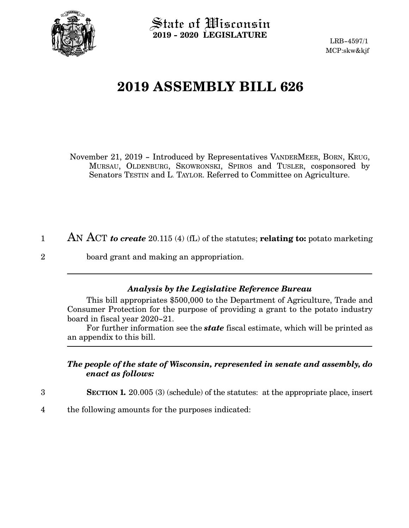

2

State of Wisconsin **2019 - 2020 LEGISLATURE**

LRB-4597/1 MCP:skw&kjf

## **2019 ASSEMBLY BILL 626**

November 21, 2019 - Introduced by Representatives VANDERMEER, BORN, KRUG, MURSAU, OLDENBURG, SKOWRONSKI, SPIROS and TUSLER, cosponsored by Senators TESTIN and L. TAYLOR. Referred to Committee on Agriculture.

- AN ACT *to create* 20.115 (4) (fL) of the statutes; **relating to:** potato marketing 1
	- board grant and making an appropriation.

## *Analysis by the Legislative Reference Bureau*

This bill appropriates \$500,000 to the Department of Agriculture, Trade and Consumer Protection for the purpose of providing a grant to the potato industry board in fiscal year 2020-21.

For further information see the *state* fiscal estimate, which will be printed as an appendix to this bill.

## *The people of the state of Wisconsin, represented in senate and assembly, do enact as follows:*

- **SECTION 1.** 20.005 (3) (schedule) of the statutes: at the appropriate place, insert 3
- the following amounts for the purposes indicated: 4